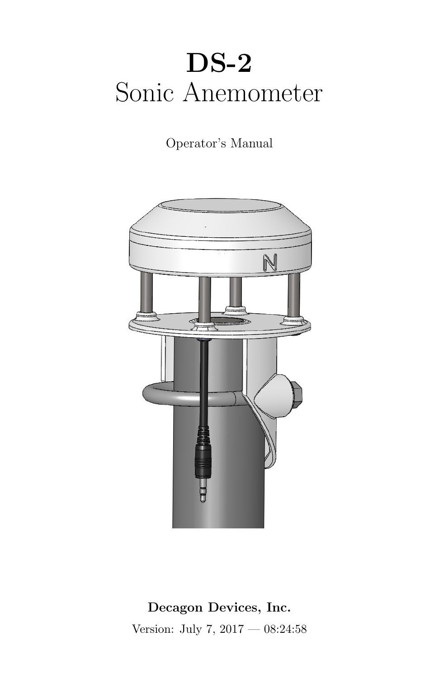# DS-2 Sonic Anemometer

Operator's Manual



Decagon Devices, Inc. Version: July 7, 2017 — 08:24:58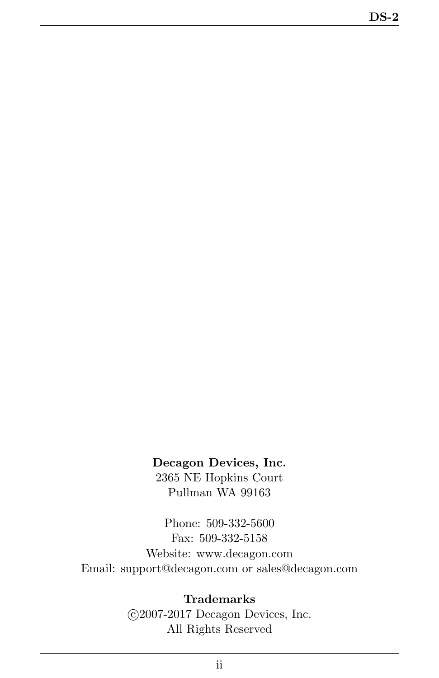#### Decagon Devices, Inc.

2365 NE Hopkins Court Pullman WA 99163

Phone: 509-332-5600 Fax: 509-332-5158 Website: www.decagon.com Email: support@decagon.com or sales@decagon.com

#### Trademarks

 c 2007-2017 Decagon Devices, Inc. All Rights Reserved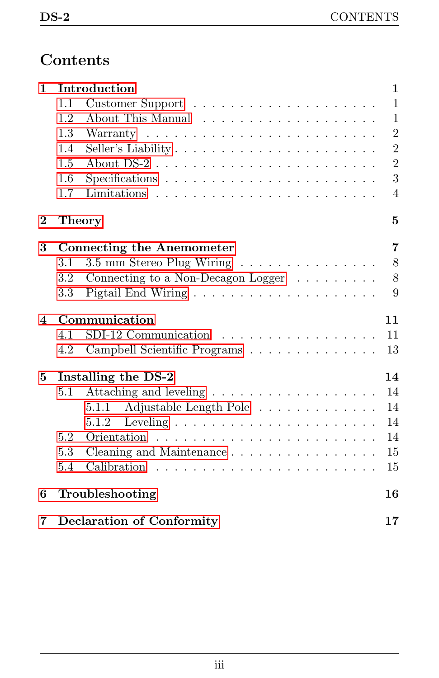# Contents

| $\mathbf{1}$ | Introduction                     |                                                           |                |  |
|--------------|----------------------------------|-----------------------------------------------------------|----------------|--|
|              | 1.1                              |                                                           | $\mathbf{1}$   |  |
|              | 1.2                              |                                                           | $\mathbf{1}$   |  |
|              | 1.3                              |                                                           | $\overline{2}$ |  |
|              | 1.4                              |                                                           | $\overline{2}$ |  |
|              | 1.5                              |                                                           | $\overline{2}$ |  |
|              | 1.6                              |                                                           | 3              |  |
|              | 1.7                              |                                                           | 4              |  |
| $\bf{2}$     |                                  | <b>Theory</b>                                             | $\mathbf{5}$   |  |
| 3            | <b>Connecting the Anemometer</b> |                                                           |                |  |
|              | 3.1                              |                                                           | 8              |  |
|              | 3.2                              | Connecting to a Non-Decagon Logger $\ldots \ldots \ldots$ | 8              |  |
|              | $3.3\,$                          |                                                           | 9              |  |
| 4            | Communication                    |                                                           |                |  |
|              | 4.1                              | SDI-12 Communication $\ldots \ldots \ldots \ldots \ldots$ | 11             |  |
|              | 4.2                              | Campbell Scientific Programs                              | 13             |  |
| 5            | Installing the DS-2              |                                                           |                |  |
|              | 5.1                              |                                                           | 14             |  |
|              |                                  | Adjustable Length Pole<br>5.1.1                           | 14             |  |
|              |                                  | 5.1.2                                                     | 14             |  |
|              | 5.2                              |                                                           | 14             |  |
|              | 5.3                              | Cleaning and Maintenance                                  | 15             |  |
|              | 5.4                              |                                                           | 15             |  |
| 6            |                                  | Troubleshooting                                           | 16             |  |
| 7            | <b>Declaration of Conformity</b> |                                                           | 17             |  |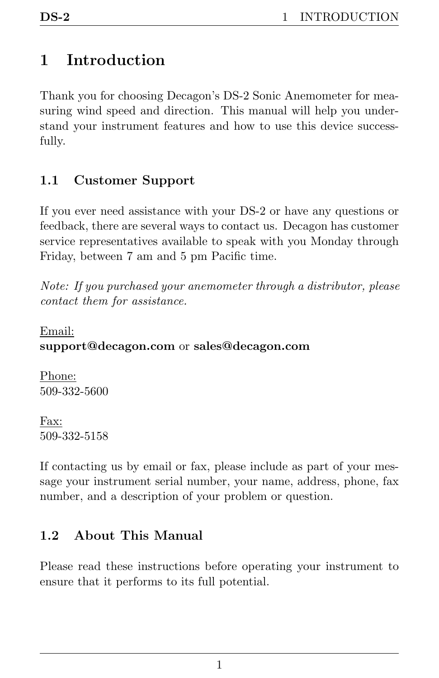# <span id="page-3-3"></span><span id="page-3-0"></span>1 Introduction

Thank you for choosing Decagon's DS-2 Sonic Anemometer for measuring wind speed and direction. This manual will help you understand your instrument features and how to use this device successfully.

### <span id="page-3-1"></span>1.1 Customer Support

If you ever need assistance with your DS-2 or have any questions or feedback, there are several ways to contact us. Decagon has customer service representatives available to speak with you Monday through Friday, between 7 am and 5 pm Pacific time.

Note: If you purchased your anemometer through a distributor, please contact them for assistance.

Email: support@decagon.com or sales@decagon.com

Phone: 509-332-5600

Fax: 509-332-5158

If contacting us by email or fax, please include as part of your message your instrument serial number, your name, address, phone, fax number, and a description of your problem or question.

### <span id="page-3-2"></span>1.2 About This Manual

Please read these instructions before operating your instrument to ensure that it performs to its full potential.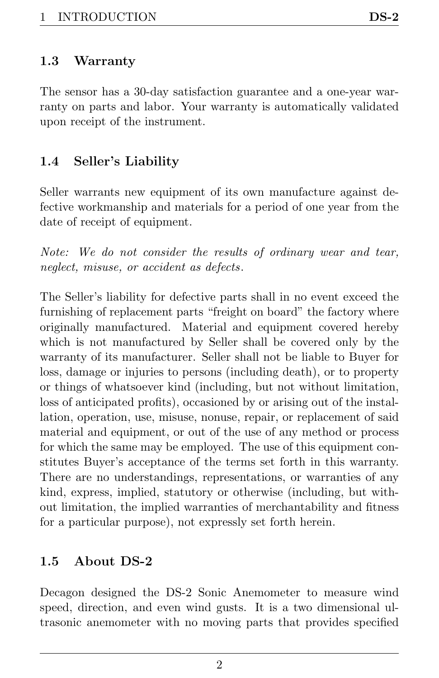<span id="page-4-3"></span><span id="page-4-0"></span>The sensor has a 30-day satisfaction guarantee and a one-year warranty on parts and labor. Your warranty is automatically validated upon receipt of the instrument.

### <span id="page-4-1"></span>1.4 Seller's Liability

Seller warrants new equipment of its own manufacture against defective workmanship and materials for a period of one year from the date of receipt of equipment.

Note: We do not consider the results of ordinary wear and tear, neglect, misuse, or accident as defects.

The Seller's liability for defective parts shall in no event exceed the furnishing of replacement parts "freight on board" the factory where originally manufactured. Material and equipment covered hereby which is not manufactured by Seller shall be covered only by the warranty of its manufacturer. Seller shall not be liable to Buyer for loss, damage or injuries to persons (including death), or to property or things of whatsoever kind (including, but not without limitation, loss of anticipated profits), occasioned by or arising out of the installation, operation, use, misuse, nonuse, repair, or replacement of said material and equipment, or out of the use of any method or process for which the same may be employed. The use of this equipment constitutes Buyer's acceptance of the terms set forth in this warranty. There are no understandings, representations, or warranties of any kind, express, implied, statutory or otherwise (including, but without limitation, the implied warranties of merchantability and fitness for a particular purpose), not expressly set forth herein.

### <span id="page-4-2"></span>1.5 About DS-2

Decagon designed the DS-2 Sonic Anemometer to measure wind speed, direction, and even wind gusts. It is a two dimensional ultrasonic anemometer with no moving parts that provides specified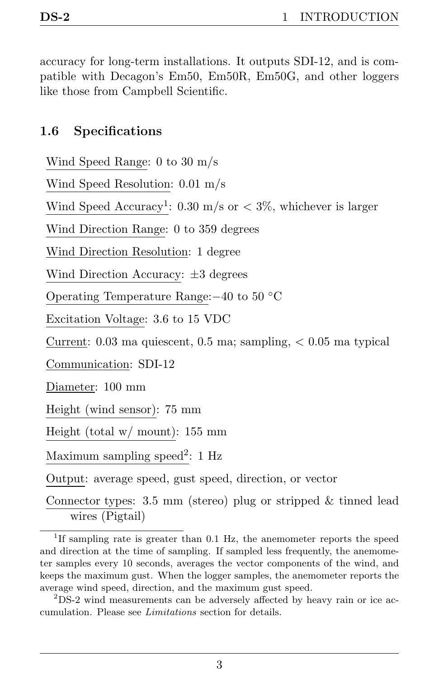<span id="page-5-1"></span>accuracy for long-term installations. It outputs SDI-12, and is compatible with Decagon's Em50, Em50R, Em50G, and other loggers like those from Campbell Scientific.

#### <span id="page-5-0"></span>1.6 Specifications

Wind Speed Range: 0 to 30 m/s

Wind Speed Resolution: 0.01 m/s

Wind Speed Accuracy<sup>1</sup>: 0.30 m/s or  $\lt 3\%$ , whichever is larger

Wind Direction Range: 0 to 359 degrees

Wind Direction Resolution: 1 degree

Wind Direction Accuracy: ±3 degrees

Operating Temperature Range:−40 to 50 ◦C

Excitation Voltage: 3.6 to 15 VDC

Current:  $0.03$  ma quiescent,  $0.5$  ma; sampling,  $< 0.05$  ma typical

Communication: SDI-12

Diameter: 100 mm

Height (wind sensor): 75 mm

Height (total w/ mount): 155 mm

Maximum sampling speed<sup>2</sup>: 1 Hz

Output: average speed, gust speed, direction, or vector

Connector types: 3.5 mm (stereo) plug or stripped & tinned lead wires (Pigtail)

<sup>&</sup>lt;sup>1</sup>If sampling rate is greater than 0.1 Hz, the anemometer reports the speed and direction at the time of sampling. If sampled less frequently, the anemometer samples every 10 seconds, averages the vector components of the wind, and keeps the maximum gust. When the logger samples, the anemometer reports the average wind speed, direction, and the maximum gust speed.

<sup>2</sup>DS-2 wind measurements can be adversely affected by heavy rain or ice accumulation. Please see Limitations section for details.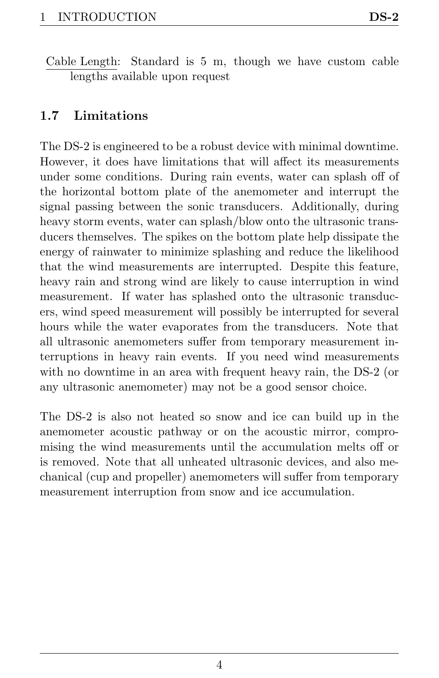### <span id="page-6-1"></span><span id="page-6-0"></span>1.7 Limitations

The DS-2 is engineered to be a robust device with minimal downtime. However, it does have limitations that will affect its measurements under some conditions. During rain events, water can splash off of the horizontal bottom plate of the anemometer and interrupt the signal passing between the sonic transducers. Additionally, during heavy storm events, water can splash/blow onto the ultrasonic transducers themselves. The spikes on the bottom plate help dissipate the energy of rainwater to minimize splashing and reduce the likelihood that the wind measurements are interrupted. Despite this feature, heavy rain and strong wind are likely to cause interruption in wind measurement. If water has splashed onto the ultrasonic transducers, wind speed measurement will possibly be interrupted for several hours while the water evaporates from the transducers. Note that all ultrasonic anemometers suffer from temporary measurement interruptions in heavy rain events. If you need wind measurements with no downtime in an area with frequent heavy rain, the DS-2 (or any ultrasonic anemometer) may not be a good sensor choice.

The DS-2 is also not heated so snow and ice can build up in the anemometer acoustic pathway or on the acoustic mirror, compromising the wind measurements until the accumulation melts off or is removed. Note that all unheated ultrasonic devices, and also mechanical (cup and propeller) anemometers will suffer from temporary measurement interruption from snow and ice accumulation.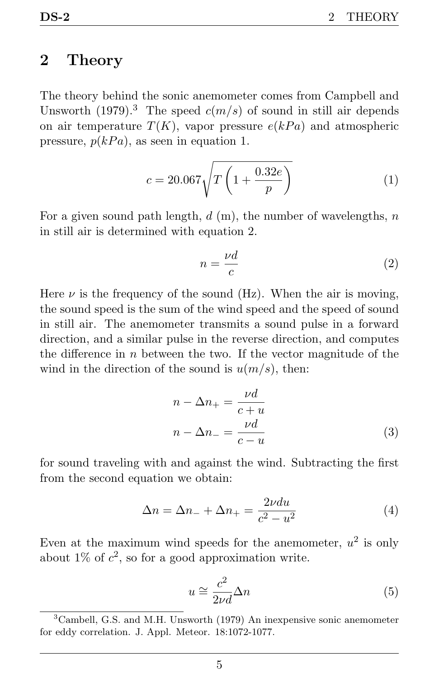### <span id="page-7-0"></span>2 Theory

The theory behind the sonic anemometer comes from Campbell and Unsworth (1979).<sup>3</sup> The speed  $c(m/s)$  of sound in still air depends on air temperature  $T(K)$ , vapor pressure  $e(kPa)$  and atmospheric pressure,  $p(kPa)$ , as seen in equation 1.

$$
c = 20.067 \sqrt{T \left(1 + \frac{0.32e}{p}\right)}
$$
 (1)

For a given sound path length,  $d$  (m), the number of wavelengths,  $n$ in still air is determined with equation 2.

$$
n = \frac{\nu d}{c} \tag{2}
$$

Here  $\nu$  is the frequency of the sound (Hz). When the air is moving, the sound speed is the sum of the wind speed and the speed of sound in still air. The anemometer transmits a sound pulse in a forward direction, and a similar pulse in the reverse direction, and computes the difference in  $n$  between the two. If the vector magnitude of the wind in the direction of the sound is  $u(m/s)$ , then:

$$
n - \Delta n_{+} = \frac{\nu d}{c + u}
$$

$$
n - \Delta n_{-} = \frac{\nu d}{c - u}
$$
(3)

for sound traveling with and against the wind. Subtracting the first from the second equation we obtain:

$$
\Delta n = \Delta n_{-} + \Delta n_{+} = \frac{2\nu du}{c^2 - u^2} \tag{4}
$$

Even at the maximum wind speeds for the anemometer,  $u^2$  is only about  $1\%$  of  $c^2$ , so for a good approximation write.

$$
u \cong \frac{c^2}{2\nu d} \Delta n \tag{5}
$$

<sup>3</sup>Cambell, G.S. and M.H. Unsworth (1979) An inexpensive sonic anemometer for eddy correlation. J. Appl. Meteor. 18:1072-1077.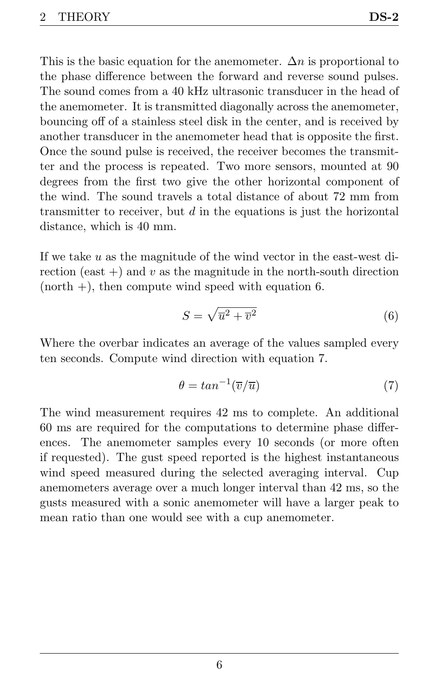This is the basic equation for the anemometer.  $\Delta n$  is proportional to the phase difference between the forward and reverse sound pulses. The sound comes from a 40 kHz ultrasonic transducer in the head of the anemometer. It is transmitted diagonally across the anemometer, bouncing off of a stainless steel disk in the center, and is received by another transducer in the anemometer head that is opposite the first. Once the sound pulse is received, the receiver becomes the transmitter and the process is repeated. Two more sensors, mounted at 90 degrees from the first two give the other horizontal component of the wind. The sound travels a total distance of about 72 mm from transmitter to receiver, but  $d$  in the equations is just the horizontal distance, which is 40 mm.

If we take  $u$  as the magnitude of the wind vector in the east-west direction (east  $+$ ) and v as the magnitude in the north-south direction  $(north +)$ , then compute wind speed with equation 6.

$$
S = \sqrt{\overline{u}^2 + \overline{v}^2} \tag{6}
$$

Where the overbar indicates an average of the values sampled every ten seconds. Compute wind direction with equation 7.

$$
\theta = \tan^{-1}(\overline{v}/\overline{u})\tag{7}
$$

The wind measurement requires 42 ms to complete. An additional 60 ms are required for the computations to determine phase differences. The anemometer samples every 10 seconds (or more often if requested). The gust speed reported is the highest instantaneous wind speed measured during the selected averaging interval. Cup anemometers average over a much longer interval than 42 ms, so the gusts measured with a sonic anemometer will have a larger peak to mean ratio than one would see with a cup anemometer.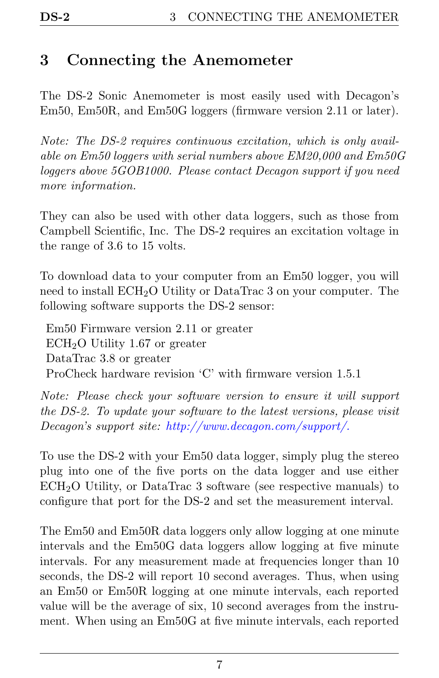## <span id="page-9-0"></span>3 Connecting the Anemometer

The DS-2 Sonic Anemometer is most easily used with Decagon's Em50, Em50R, and Em50G loggers (firmware version 2.11 or later).

Note: The DS-2 requires continuous excitation, which is only available on Em50 loggers with serial numbers above EM20,000 and Em50G loggers above 5GOB1000. Please contact Decagon support if you need more information.

They can also be used with other data loggers, such as those from Campbell Scientific, Inc. The DS-2 requires an excitation voltage in the range of 3.6 to 15 volts.

To download data to your computer from an Em50 logger, you will need to install ECH<sub>2</sub>O Utility or DataTrac 3 on your computer. The following software supports the DS-2 sensor:

Em50 Firmware version 2.11 or greater  $\text{ECH}_2\text{O}$  Utility 1.67 or greater DataTrac 3.8 or greater ProCheck hardware revision 'C' with firmware version 1.5.1

Note: Please check your software version to ensure it will support the DS-2. To update your software to the latest versions, please visit Decagon's support site: http://www.decagon.com/support/.

To use the DS-2 with your Em50 data logger, simply plug the stereo plug into one of the five ports on the data logger and use either  $\text{ECH}_2\text{O}$  Utility, or DataTrac 3 software (see respective manuals) to configure that port for the DS-2 and set the measurement interval.

The Em50 and Em50R data loggers only allow logging at one minute intervals and the Em50G data loggers allow logging at five minute intervals. For any measurement made at frequencies longer than 10 seconds, the DS-2 will report 10 second averages. Thus, when using an Em50 or Em50R logging at one minute intervals, each reported value will be the average of six, 10 second averages from the instrument. When using an Em50G at five minute intervals, each reported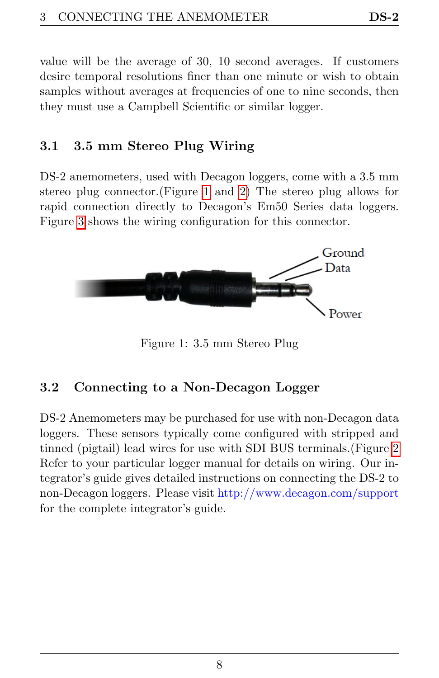<span id="page-10-3"></span>value will be the average of 30, 10 second averages. If customers desire temporal resolutions finer than one minute or wish to obtain samples without averages at frequencies of one to nine seconds, then they must use a Campbell Scientific or similar logger.

#### <span id="page-10-0"></span>3.1 3.5 mm Stereo Plug Wiring

DS-2 anemometers, used with Decagon loggers, come with a 3.5 mm stereo plug connector.(Figure [1](#page-10-2) and [2\)](#page-11-1) The stereo plug allows for rapid connection directly to Decagon's Em50 Series data loggers. Figure [3](#page-11-2) shows the wiring configuration for this connector.

<span id="page-10-2"></span>

Figure 1: 3.5 mm Stereo Plug

### <span id="page-10-1"></span>3.2 Connecting to a Non-Decagon Logger

DS-2 Anemometers may be purchased for use with non-Decagon data loggers. These sensors typically come configured with stripped and tinned (pigtail) lead wires for use with SDI BUS terminals.(Figure [2](#page-11-1) Refer to your particular logger manual for details on wiring. Our integrator's guide gives detailed instructions on connecting the DS-2 to non-Decagon loggers. Please visit http://www.decagon.com/support for the complete integrator's guide.

8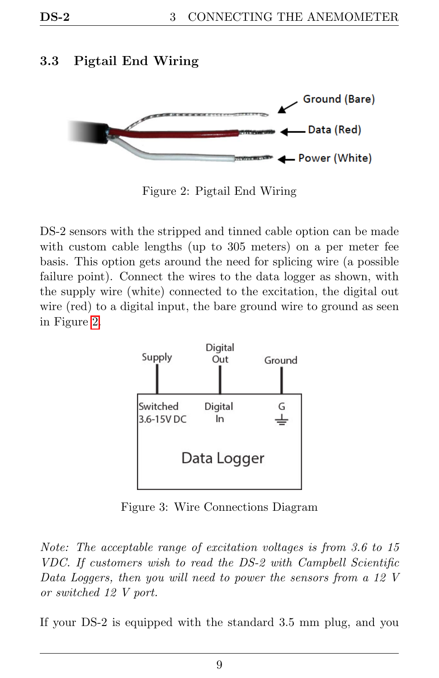### <span id="page-11-3"></span><span id="page-11-0"></span>3.3 Pigtail End Wiring

<span id="page-11-1"></span>

Figure 2: Pigtail End Wiring

DS-2 sensors with the stripped and tinned cable option can be made with custom cable lengths (up to 305 meters) on a per meter fee basis. This option gets around the need for splicing wire (a possible failure point). Connect the wires to the data logger as shown, with the supply wire (white) connected to the excitation, the digital out wire (red) to a digital input, the bare ground wire to ground as seen in Figure [2.](#page-11-1)

<span id="page-11-2"></span>

Figure 3: Wire Connections Diagram

Note: The acceptable range of excitation voltages is from 3.6 to 15 VDC. If customers wish to read the DS-2 with Campbell Scientific Data Loggers, then you will need to power the sensors from a 12 V or switched 12 V port.

If your DS-2 is equipped with the standard 3.5 mm plug, and you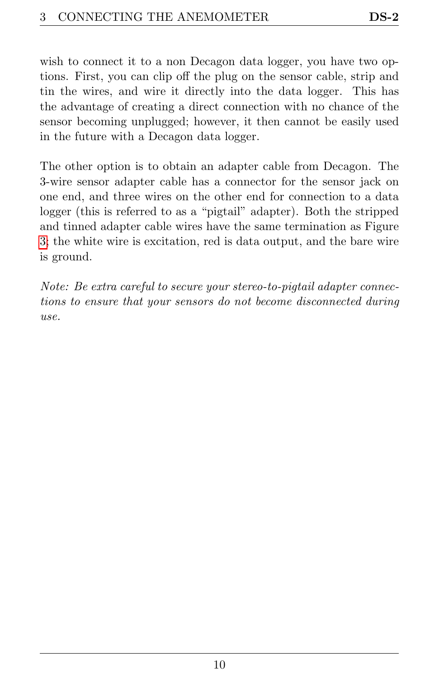wish to connect it to a non Decagon data logger, you have two options. First, you can clip off the plug on the sensor cable, strip and tin the wires, and wire it directly into the data logger. This has the advantage of creating a direct connection with no chance of the sensor becoming unplugged; however, it then cannot be easily used in the future with a Decagon data logger.

The other option is to obtain an adapter cable from Decagon. The 3-wire sensor adapter cable has a connector for the sensor jack on one end, and three wires on the other end for connection to a data logger (this is referred to as a "pigtail" adapter). Both the stripped and tinned adapter cable wires have the same termination as Figure [3;](#page-11-2) the white wire is excitation, red is data output, and the bare wire is ground.

Note: Be extra careful to secure your stereo-to-pigtail adapter connections to ensure that your sensors do not become disconnected during use.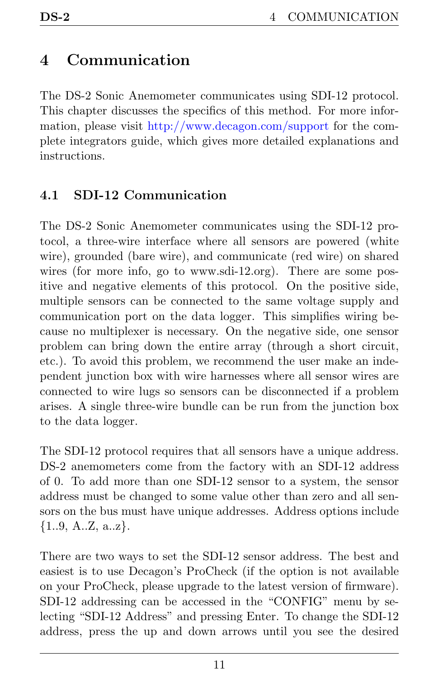# <span id="page-13-2"></span><span id="page-13-0"></span>4 Communication

The DS-2 Sonic Anemometer communicates using SDI-12 protocol. This chapter discusses the specifics of this method. For more information, please visit http://www.decagon.com/support for the complete integrators guide, which gives more detailed explanations and instructions.

### <span id="page-13-1"></span>4.1 SDI-12 Communication

The DS-2 Sonic Anemometer communicates using the SDI-12 protocol, a three-wire interface where all sensors are powered (white wire), grounded (bare wire), and communicate (red wire) on shared wires (for more info, go to www.sdi-12.org). There are some positive and negative elements of this protocol. On the positive side, multiple sensors can be connected to the same voltage supply and communication port on the data logger. This simplifies wiring because no multiplexer is necessary. On the negative side, one sensor problem can bring down the entire array (through a short circuit, etc.). To avoid this problem, we recommend the user make an independent junction box with wire harnesses where all sensor wires are connected to wire lugs so sensors can be disconnected if a problem arises. A single three-wire bundle can be run from the junction box to the data logger.

The SDI-12 protocol requires that all sensors have a unique address. DS-2 anemometers come from the factory with an SDI-12 address of 0. To add more than one SDI-12 sensor to a system, the sensor address must be changed to some value other than zero and all sensors on the bus must have unique addresses. Address options include  $\{1..9, A..Z, a..z\}.$ 

There are two ways to set the SDI-12 sensor address. The best and easiest is to use Decagon's ProCheck (if the option is not available on your ProCheck, please upgrade to the latest version of firmware). SDI-12 addressing can be accessed in the "CONFIG" menu by selecting "SDI-12 Address" and pressing Enter. To change the SDI-12 address, press the up and down arrows until you see the desired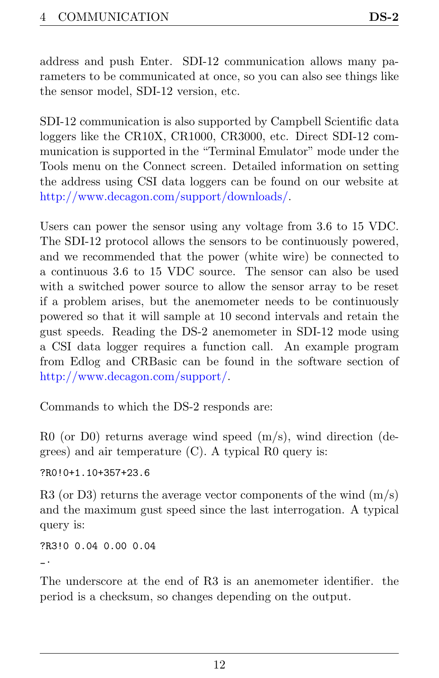<span id="page-14-0"></span>address and push Enter. SDI-12 communication allows many parameters to be communicated at once, so you can also see things like the sensor model, SDI-12 version, etc.

SDI-12 communication is also supported by Campbell Scientific data loggers like the CR10X, CR1000, CR3000, etc. Direct SDI-12 communication is supported in the "Terminal Emulator" mode under the Tools menu on the Connect screen. Detailed information on setting the address using CSI data loggers can be found on our website at http://www.decagon.com/support/downloads/.

Users can power the sensor using any voltage from 3.6 to 15 VDC. The SDI-12 protocol allows the sensors to be continuously powered, and we recommended that the power (white wire) be connected to a continuous 3.6 to 15 VDC source. The sensor can also be used with a switched power source to allow the sensor array to be reset if a problem arises, but the anemometer needs to be continuously powered so that it will sample at 10 second intervals and retain the gust speeds. Reading the DS-2 anemometer in SDI-12 mode using a CSI data logger requires a function call. An example program from Edlog and CRBasic can be found in the software section of http://www.decagon.com/support/.

Commands to which the DS-2 responds are:

R0 (or D0) returns average wind speed  $(m/s)$ , wind direction (degrees) and air temperature  $(C)$ . A typical R0 query is:

?R0!0+1.10+357+23.6

R3 (or D3) returns the average vector components of the wind  $(m/s)$ and the maximum gust speed since the last interrogation. A typical query is:

?R3!0 0.04 0.00 0.04  $\overline{\phantom{a}}$ 

The underscore at the end of R3 is an anemometer identifier. the period is a checksum, so changes depending on the output.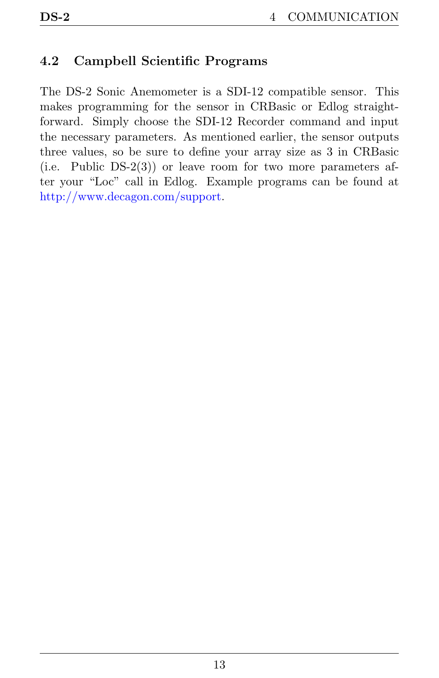### <span id="page-15-0"></span>4.2 Campbell Scientific Programs

The DS-2 Sonic Anemometer is a SDI-12 compatible sensor. This makes programming for the sensor in CRBasic or Edlog straightforward. Simply choose the SDI-12 Recorder command and input the necessary parameters. As mentioned earlier, the sensor outputs three values, so be sure to define your array size as 3 in CRBasic (i.e. Public DS-2(3)) or leave room for two more parameters after your "Loc" call in Edlog. Example programs can be found at http://www.decagon.com/support.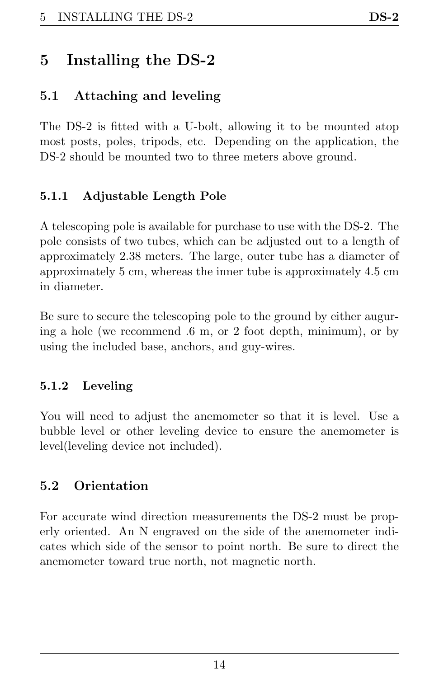# <span id="page-16-5"></span><span id="page-16-0"></span>5 Installing the DS-2

### <span id="page-16-1"></span>5.1 Attaching and leveling

The DS-2 is fitted with a U-bolt, allowing it to be mounted atop most posts, poles, tripods, etc. Depending on the application, the DS-2 should be mounted two to three meters above ground.

#### <span id="page-16-2"></span>5.1.1 Adjustable Length Pole

A telescoping pole is available for purchase to use with the DS-2. The pole consists of two tubes, which can be adjusted out to a length of approximately 2.38 meters. The large, outer tube has a diameter of approximately 5 cm, whereas the inner tube is approximately 4.5 cm in diameter.

Be sure to secure the telescoping pole to the ground by either auguring a hole (we recommend .6 m, or 2 foot depth, minimum), or by using the included base, anchors, and guy-wires.

### <span id="page-16-3"></span>5.1.2 Leveling

You will need to adjust the anemometer so that it is level. Use a bubble level or other leveling device to ensure the anemometer is level(leveling device not included).

### <span id="page-16-4"></span>5.2 Orientation

For accurate wind direction measurements the DS-2 must be properly oriented. An N engraved on the side of the anemometer indicates which side of the sensor to point north. Be sure to direct the anemometer toward true north, not magnetic north.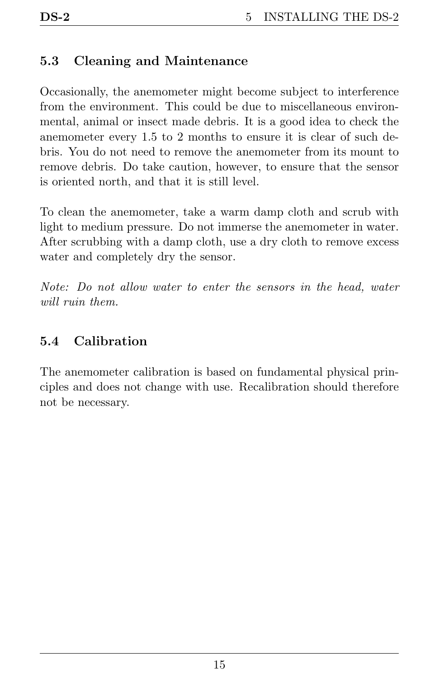### <span id="page-17-2"></span><span id="page-17-0"></span>5.3 Cleaning and Maintenance

Occasionally, the anemometer might become subject to interference from the environment. This could be due to miscellaneous environmental, animal or insect made debris. It is a good idea to check the anemometer every 1.5 to 2 months to ensure it is clear of such debris. You do not need to remove the anemometer from its mount to remove debris. Do take caution, however, to ensure that the sensor is oriented north, and that it is still level.

To clean the anemometer, take a warm damp cloth and scrub with light to medium pressure. Do not immerse the anemometer in water. After scrubbing with a damp cloth, use a dry cloth to remove excess water and completely dry the sensor.

Note: Do not allow water to enter the sensors in the head, water will ruin them.

#### <span id="page-17-1"></span>5.4 Calibration

The anemometer calibration is based on fundamental physical principles and does not change with use. Recalibration should therefore not be necessary.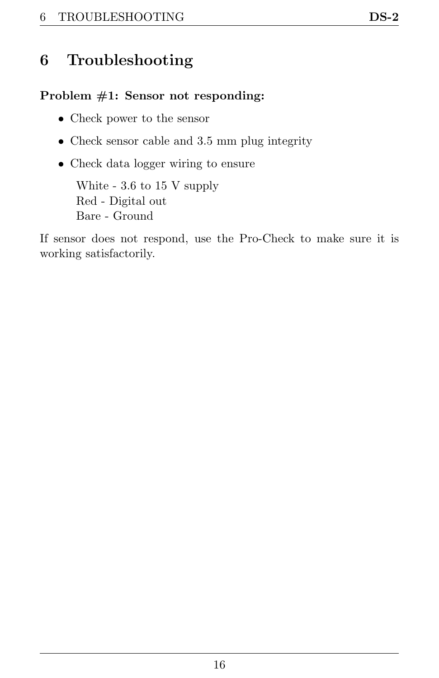# <span id="page-18-1"></span><span id="page-18-0"></span>6 Troubleshooting

#### Problem #1: Sensor not responding:

- Check power to the sensor
- Check sensor cable and 3.5 mm plug integrity
- Check data logger wiring to ensure

White - 3.6 to 15 V supply Red - Digital out Bare - Ground

If sensor does not respond, use the Pro-Check to make sure it is working satisfactorily.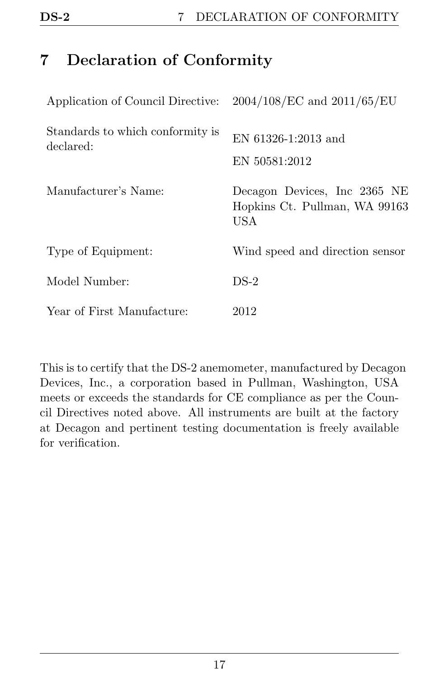# <span id="page-19-1"></span><span id="page-19-0"></span>7 Declaration of Conformity

| Application of Council Directive: $2004/108/EC$ and $2011/65/EU$ |                                                                       |
|------------------------------------------------------------------|-----------------------------------------------------------------------|
| Standards to which conformity is<br>declared:                    | EN 61326-1:2013 and<br>EN 50581:2012                                  |
| Manufacturer's Name:                                             | Decagon Devices, Inc 2365 NE<br>Hopkins Ct. Pullman, WA 99163<br>USA. |
| Type of Equipment:                                               | Wind speed and direction sensor                                       |
| Model Number:                                                    | $DS-2$                                                                |
| Year of First Manufacture:                                       | 2012                                                                  |

This is to certify that the DS-2 anemometer, manufactured by Decagon Devices, Inc., a corporation based in Pullman, Washington, USA meets or exceeds the standards for CE compliance as per the Council Directives noted above. All instruments are built at the factory at Decagon and pertinent testing documentation is freely available for verification.